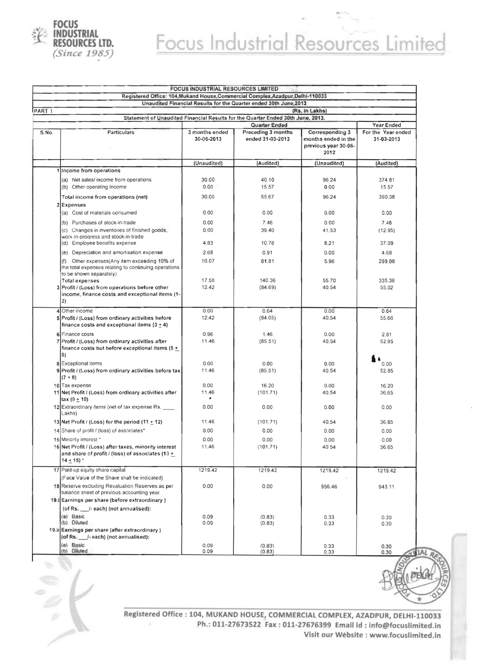

## Focus Industrial Resources Limited

|        |                                                                                                                                  | FOCUS INDUSTRIAL RESOURCES LIMITED |                                                                                 |                                                                        |                                  |          |  |  |  |
|--------|----------------------------------------------------------------------------------------------------------------------------------|------------------------------------|---------------------------------------------------------------------------------|------------------------------------------------------------------------|----------------------------------|----------|--|--|--|
|        |                                                                                                                                  |                                    | Registered Office: 104, Mukand House, Commercial Complex, Azadpur, Delhi-110033 |                                                                        |                                  |          |  |  |  |
| PART 1 | Unaudited Financial Results for the Quarter ended 30th June, 2013<br>(Rs. in Lakhs)                                              |                                    |                                                                                 |                                                                        |                                  |          |  |  |  |
|        | Statement of Unaudited Financial Results for the Quarter Ended 30th June, 2013.                                                  |                                    |                                                                                 |                                                                        |                                  |          |  |  |  |
|        |                                                                                                                                  |                                    | <b>Quarter Ended</b>                                                            |                                                                        | Year Ended                       |          |  |  |  |
| S.No.  | Particulars                                                                                                                      | 3 months ended<br>30-06-2013       | Preceding 3 months<br>ended 31-03-2013                                          | Corresponding 3<br>months ended in the<br>previous year 30-06-<br>2012 | For the Year ended<br>31-03-2013 |          |  |  |  |
|        |                                                                                                                                  | (Unaudited)                        | (Audited)                                                                       | (Unaudited)                                                            | (Audited)                        |          |  |  |  |
|        | 1 Income from operations                                                                                                         |                                    |                                                                                 |                                                                        |                                  |          |  |  |  |
|        | (a) Net sales/ income from operations                                                                                            | 30.00                              | 40.10                                                                           | 96.24                                                                  | 374.81                           |          |  |  |  |
|        | (b) Other operating income                                                                                                       | 0.00                               | 15.57                                                                           | 0.00                                                                   | 15.57                            |          |  |  |  |
|        | Total income from operations (net)                                                                                               | 30.00                              | 55.67                                                                           | 96.24                                                                  | 390.38                           |          |  |  |  |
|        | 2 Expenses                                                                                                                       |                                    |                                                                                 |                                                                        |                                  |          |  |  |  |
|        | (a) Cost of materials consumed                                                                                                   | 0.00                               | 0.00                                                                            | 0.00                                                                   | 0.00                             |          |  |  |  |
|        | (b) Purchases of stock-in-trade                                                                                                  | 0.00                               | 7.46                                                                            | 0.00                                                                   | 7.46                             |          |  |  |  |
|        | (c) Changes in inventories of finished goods,                                                                                    | 0.00                               | 39.40                                                                           | 41.53                                                                  | (12.95)                          |          |  |  |  |
|        | work-in-progress and stock-in-trade                                                                                              |                                    |                                                                                 |                                                                        |                                  |          |  |  |  |
|        | (d) Employee benefits expense                                                                                                    | 4.83                               | 10.78                                                                           | 8.21                                                                   | 37.09                            |          |  |  |  |
|        | (e) Depreciation and amortisation expense                                                                                        | 2.68                               | 0.91                                                                            | 0.00                                                                   | 4.68                             |          |  |  |  |
|        | (f) Other expenses (Any item exceeding 10% of<br>the total expenses relating to continuing operations<br>to be shown separately) | 10.07                              | 81.81                                                                           | 5.96                                                                   | 299.08                           |          |  |  |  |
|        | Total expenses                                                                                                                   | 17.58                              | 140.36                                                                          | 55.70                                                                  | 335.36                           |          |  |  |  |
|        | 3 Profit / (Loss) from operations before other                                                                                   | 12.42                              | (84.69)                                                                         | 40.54                                                                  | 55.02                            |          |  |  |  |
|        | income, finance costs and exceptional items (1-<br>2)                                                                            |                                    |                                                                                 |                                                                        |                                  |          |  |  |  |
|        | 4 Other income                                                                                                                   | 0.00                               | 0.64                                                                            | 0.00                                                                   | 0.64                             |          |  |  |  |
|        | 5 Profit / (Loss) from ordinary activities before<br>finance costs and exceptional items $(3 + 4)$                               | 12.42                              | (84.05)                                                                         | 40.54                                                                  | 55.66                            |          |  |  |  |
|        | 6 Finance costs                                                                                                                  | 0.96                               | 1.46                                                                            | 0.00                                                                   | 2.81                             |          |  |  |  |
|        | 7 Profit / (Loss) from ordinary activities after<br>finance costs but before exceptional items (5 $+$<br>6)                      | 11.46                              | (85.51)                                                                         | 40.54                                                                  | 52.85                            |          |  |  |  |
|        | 8 Exceptional items                                                                                                              | 0.00                               | 0.00                                                                            | 0.00                                                                   | 0.00                             |          |  |  |  |
|        | 9 Profit / (Loss) from ordinary activities before tax<br>$(7 + 8)$                                                               | 11.46                              | (85.51)                                                                         | 40.54                                                                  | 52.85                            |          |  |  |  |
|        | 10 Tax expense                                                                                                                   | 0.00                               | 16.20                                                                           | 0.00                                                                   | 16.20                            |          |  |  |  |
|        | 11 Net Profit / (Loss) from ordinary activities after<br>$\text{tax} (9 \pm 10)$                                                 | 11.46                              | (101.71)                                                                        | 40.54                                                                  | 36.65                            |          |  |  |  |
|        | 12 Extraordinary items (net of tax expense Rs.<br>Lakhs)                                                                         | 0.00                               | 0.00                                                                            | 0.00                                                                   | 0.00                             |          |  |  |  |
|        | 13 Net Profit / (Loss) for the period (11 $\pm$ 12)                                                                              | 11.46                              | (101.71)                                                                        | 40.54                                                                  | 36.65                            |          |  |  |  |
|        | 14 Share of profit / (loss) of associates*                                                                                       | 0.00                               | 0.00                                                                            | 0.00                                                                   | 0.00                             |          |  |  |  |
|        | 15 Minority interest *                                                                                                           | 0.00                               | 0.00                                                                            | 0.00                                                                   | 0.00                             |          |  |  |  |
|        | 16 Net Profit / (Loss) after taxes, minority interest<br>and share of profit / (loss) of associates (13 $+$<br>$14 + 15$         | 11.46                              | (101.71)                                                                        | 40 54                                                                  | 36.65                            |          |  |  |  |
|        | 17 Paid-up equity share capital                                                                                                  | 1219.42                            | 1219.42                                                                         | 1219.42                                                                | 1219.42                          |          |  |  |  |
|        | (Face Value of the Share shall be indicated)                                                                                     |                                    |                                                                                 |                                                                        |                                  |          |  |  |  |
|        | 18 Reserve excluding Revaluation Reserves as per<br>balance sheet of previous accounting year                                    | 0.00                               | 0.00                                                                            | 956.46                                                                 | 943.11                           |          |  |  |  |
|        | 19.i Earnings per share (before extraordinary)                                                                                   |                                    |                                                                                 |                                                                        |                                  |          |  |  |  |
|        | (of Rs. ___ /- each) (not annualised):                                                                                           |                                    |                                                                                 |                                                                        |                                  |          |  |  |  |
|        | (a) Basic<br>(b) Diluted                                                                                                         | 0.09<br>0.09                       | (0.83)<br>(0.83)                                                                | 0.33<br>0.33                                                           | 0.30<br>0.30                     |          |  |  |  |
|        | 19.ii Earnings per share (after extraordinary)                                                                                   |                                    |                                                                                 |                                                                        |                                  |          |  |  |  |
|        | (of Rs. /-each) (not annualised):                                                                                                |                                    |                                                                                 |                                                                        |                                  |          |  |  |  |
|        | (a) Basic<br>(b) Diluted                                                                                                         | 0.09<br>0.09                       | (0.83)<br>(0.83)                                                                | 0.33<br>0.33                                                           | 0.30<br>0.30                     | $-9JALA$ |  |  |  |



Registered Office: 104, MUKAND HOUSE, COMMERCIAL COMPLEX, AZADPUR, DElHI-ll0033 Ph. : 011-27673522 Fax: 011-27676399 Email id : info@focuslimited.ln ia) Visit our Website : www.focuslimited.in

if~)

 $\frac{1}{x}$  . 0) -